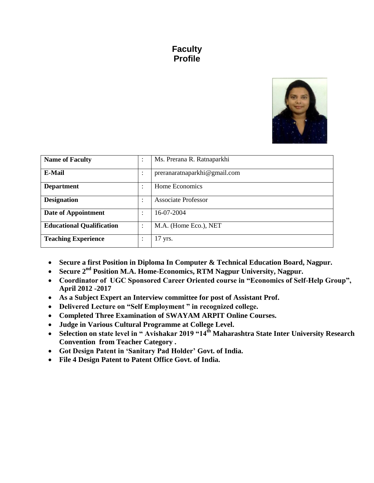# **Faculty Profile**



| <b>Name of Faculty</b>           | $\bullet$<br>$\ddot{\phantom{a}}$ | Ms. Prerana R. Ratnaparkhi   |
|----------------------------------|-----------------------------------|------------------------------|
| E-Mail                           | ٠<br>$\ddot{\phantom{0}}$         | preranaratnaparkhi@gmail.com |
| <b>Department</b>                | ٠<br>$\ddot{\phantom{a}}$         | Home Economics               |
| <b>Designation</b>               | ٠<br>$\ddot{\phantom{a}}$         | <b>Associate Professor</b>   |
| Date of Appointment              | $\bullet$                         | 16-07-2004                   |
| <b>Educational Qualification</b> | $\bullet$<br>$\ddot{\phantom{a}}$ | M.A. (Home Eco.), NET        |
| <b>Teaching Experience</b>       | ٠<br>$\cdot$                      | $17$ yrs.                    |

- **Secure a first Position in Diploma In Computer & Technical Education Board, Nagpur.**
- **Secure 2nd Position M.A. Home-Economics, RTM Nagpur University, Nagpur.**
- **Coordinator of UGC Sponsored Career Oriented course in "Economics of Self-Help Group", April 2012 -2017**
- **As a Subject Expert an Interview committee for post of Assistant Prof.**
- **Delivered Lecture on "Self Employment " in recognized college.**
- **Completed Three Examination of SWAYAM ARPIT Online Courses.**
- **Judge in Various Cultural Programme at College Level.**
- **Selection on state level in " Avishakar 2019 "14th Maharashtra State Inter University Research Convention from Teacher Category .**
- **Got Design Patent in "Sanitary Pad Holder" Govt. of India.**
- **File 4 Design Patent to Patent Office Govt. of India.**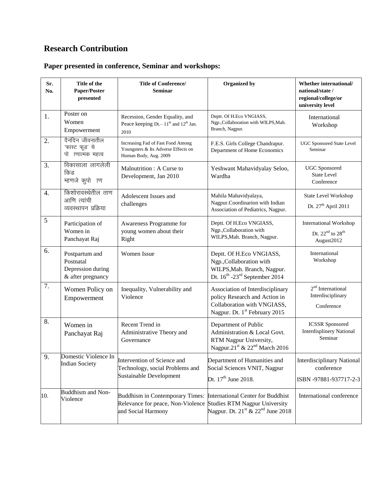# **Research Contribution**

### **Paper presented in conference, Seminar and workshops:**

| Sr.<br>No.       | Title of the<br>Paper/Poster<br>$\bold{presented}$                    | <b>Title of Conference/</b><br><b>Seminar</b>                                                                            | Organized by                                                                                                                                  | Whether international/<br>national/state /<br>regional/college/or<br>university level |
|------------------|-----------------------------------------------------------------------|--------------------------------------------------------------------------------------------------------------------------|-----------------------------------------------------------------------------------------------------------------------------------------------|---------------------------------------------------------------------------------------|
| 1.               | Poster on<br>Women<br>Empowerment                                     | Recession, Gender Equality, and<br>Peace keeping Dt. – 11 <sup>th</sup> and 12 <sup>th</sup> Jan.<br>2010                | Deptt. Of H.Eco VNGIASS,<br>Ngp., Collaboration with WILPS, Mah.<br>Branch, Nagpur.                                                           | International<br>Workshop                                                             |
| 2.               | दैनंदिन जीवनातील<br>'फास्ट फूड' चे<br>पो ।णात्मक महत्व                | Increasing Fad of Fast Food Among<br>Youngsters & Its Adverse Effects on<br>Human Body, Aug. 2009                        | F.E.S. Girls College Chandrapur.<br>Department of Home Economics                                                                              | <b>UGC Sponsored State Level</b><br>Seminar                                           |
| 3.               | विकासाला लागलेली<br>किड<br>म्हणजे कुपो ाण                             | Malnutrition: A Curse to<br>Development, Jan 2010                                                                        | Yeshwant Mahavidyalay Seloo,<br>Wardha                                                                                                        | <b>UGC</b> Sponsored<br><b>State Level</b><br>Conference                              |
| $\overline{4}$ . | किशोरावस्थेतील ताण<br>आणि त्यांची<br>व्यवस्थापन प्रक्रिया             | Adolescent Issues and<br>challenges                                                                                      | Mahila Mahavidyalaya,<br>Nagpur.Coordinarion with Indian<br>Association of Pediatrics, Nagpur.                                                | State Level Workshop<br>Dt. 27 <sup>th</sup> April 2011                               |
| $\sqrt{5}$       | Participation of<br>Women in<br>Panchayat Raj                         | Awareness Programme for<br>young women about their<br>Right                                                              | Deptt. Of H.Eco VNGIASS,<br>Ngp., Collaboration with<br>WILPS, Mah. Branch, Nagpur.                                                           | <b>International Workshop</b><br>Dt. $22nd$ to $28th$<br>August2012                   |
| 6.               | Postpartum and<br>Postnatal<br>Depression during<br>& after pregnancy | <b>Women Issue</b>                                                                                                       | Deptt. Of H.Eco VNGIASS,<br>Ngp., Collaboration with<br>WILPS, Mah. Branch, Nagpur.<br>Dt. $16^{\text{th}}$ -23 <sup>rd</sup> September 2014  | International<br>Workshop                                                             |
| 7.               | Women Policy on<br>Empowerment                                        | Inequality, Vulnerability and<br>Violence                                                                                | Association of Interdisciplinary<br>policy Research and Action in<br>Collaboration with VNGIASS,<br>Nagpur. Dt. 1 <sup>st</sup> February 2015 | 2 <sup>nd</sup> International<br>Interdisciplinary<br>Conference                      |
| 8.               | Women in<br>Panchayat Raj                                             | Recent Trend in<br>Administrative Theory and<br>Governance                                                               | Department of Public<br>Administration & Local Govt.<br>RTM Nagpur University,<br>Nagpur.21 <sup>st</sup> & 22 <sup>nd</sup> March 2016       | <b>ICSSR</b> Sponsored<br><b>Interdisplinery National</b><br>Seminar                  |
| 9.               | Domestic Violence In<br><b>Indian Society</b>                         | Intervention of Science and<br>Technology, social Problems and<br>Sustainable Development                                | Department of Humanities and<br>Social Sciences VNIT, Nagpur<br>Dt. $17^{\text{th}}$ June 2018.                                               | <b>Interdisciplinary National</b><br>conference<br>ISBN -97881-937717-2-3             |
| 10.              | Buddhism and Non-<br>Violence                                         | Buddhism in Contemporary Times:<br>Relevance for peace, Non-Violence Studies RTM Nagpur University<br>and Social Harmony | International Center for Buddhist<br>Nagpur. Dt. $21^{\text{st}}$ & $22^{\text{nd}}$ June 2018                                                | International conference                                                              |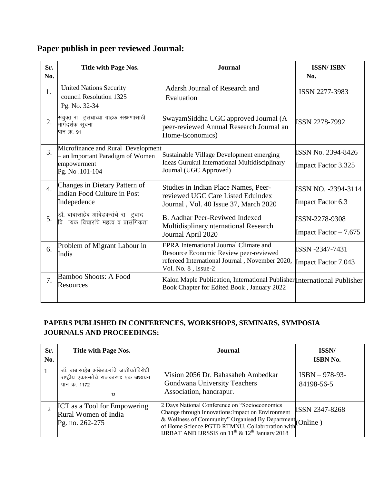|  |  | Paper publish in peer reviewed Journal: |
|--|--|-----------------------------------------|
|  |  |                                         |

| Sr.<br>No.       | <b>Title with Page Nos.</b>                                                                              | <b>Journal</b>                                                                                                                                                   | <b>ISSN/ISBN</b><br>No.                                 |
|------------------|----------------------------------------------------------------------------------------------------------|------------------------------------------------------------------------------------------------------------------------------------------------------------------|---------------------------------------------------------|
| 1.               | <b>United Nations Security</b><br>council Resolution 1325<br>Pg. No. 32-34                               | Adarsh Journal of Research and<br>Evaluation                                                                                                                     | ISSN 2277-3983                                          |
| 2.               | संयुक्त राजट्रसंघाच्या ग्राहक संरक्षणासाठी<br>मार्गदर्शक सूचना<br>पान क्र. ९१                            | SwayamSiddha UGC approved Journal (A<br>peer-reviewed Annual Research Journal an<br>Home-Economics)                                                              | <b>ISSN 2278-7992</b>                                   |
| 3.               | Microfinance and Rural Development<br>- an Important Paradigm of Women<br>empowerment<br>Pg. No .101-104 | Sustainable Village Development emerging<br>Ideas Gurukul International Multidisciplinary<br>Journal (UGC Approved)                                              | <b>ISSN No. 2394-8426</b><br><b>Impact Factor 3.325</b> |
| $\overline{4}$ . | Changes in Dietary Pattern of<br>Indian Food Culture in Post<br>Indepedence                              | Studies in Indian Place Names, Peer-<br>reviewed UGC Care Listed Eduindex<br>Journal, Vol. 40 Issue 37, March 2020                                               | ISSN NO. -2394-3114<br>Impact Factor 6.3                |
| 5.               | डॉ. बाबासाहेब आंबेडकरांचे राजट्रवाद<br>वि ।यक विचारांचे महत्व व प्रासंगिकता                              | <b>B.</b> Aadhar Peer-Reviwed Indexed<br>Multidisplinary nternational Research<br>Journal April 2020                                                             | ISSN-2278-9308<br>Impact Factor $-7.675$                |
| 6.               | Problem of Migrant Labour in<br>India                                                                    | <b>EPRA</b> International Journal Climate and<br>Resource Economic Review peer-reviewed<br>refereed International Journal, November 2020,<br>Vol. No. 8, Issue-2 | ISSN -2347-7431<br><b>Impact Factor 7.043</b>           |
| 7.               | Bamboo Shoots: A Food<br>Resources                                                                       | Kalon Maple Publication, International Publisher International Publisher<br>Book Chapter for Edited Book, January 2022                                           |                                                         |

#### **PAPERS PUBLISHED IN CONFERENCES, WORKSHOPS, SEMINARS, SYMPOSIA JOURNALS AND PROCEEDINGS:**

| Sr.<br>No.                  | Title with Page Nos.                                                                                     | Journal                                                                                                                                                                                                                                                                 | ISSN/<br><b>ISBN No.</b>       |
|-----------------------------|----------------------------------------------------------------------------------------------------------|-------------------------------------------------------------------------------------------------------------------------------------------------------------------------------------------------------------------------------------------------------------------------|--------------------------------|
|                             | डॉ. बाबासाहेब आंबेडकरांचे जातीयतेविरोधी<br>राष्ट्रीय एकात्मतेचे राजकारणः एक अध्ययन<br>पान क्र. 1172<br>π | Vision 2056 Dr. Babasaheb Ambedkar<br>Gondwana University Teachers<br>Association, handrapur.                                                                                                                                                                           | $ISBN - 978-93-$<br>84198-56-5 |
| $\mathcal{D}_{\mathcal{A}}$ | <b>ICT</b> as a Tool for Empowering<br>Rural Women of India<br>Pg. no. 262-275                           | 2 Days National Conference on "Socioeconomics"<br>Change through Innovations: Impact on Environment<br>& Wellness of Community" Organised By Department<br>of Home Science PGTD RTMNU, Collabroration with<br><b>IJRBAT AND IJRSSIS</b> on $11th$ & $12th$ January 2018 | <b>ISSN 2347-8268</b>          |